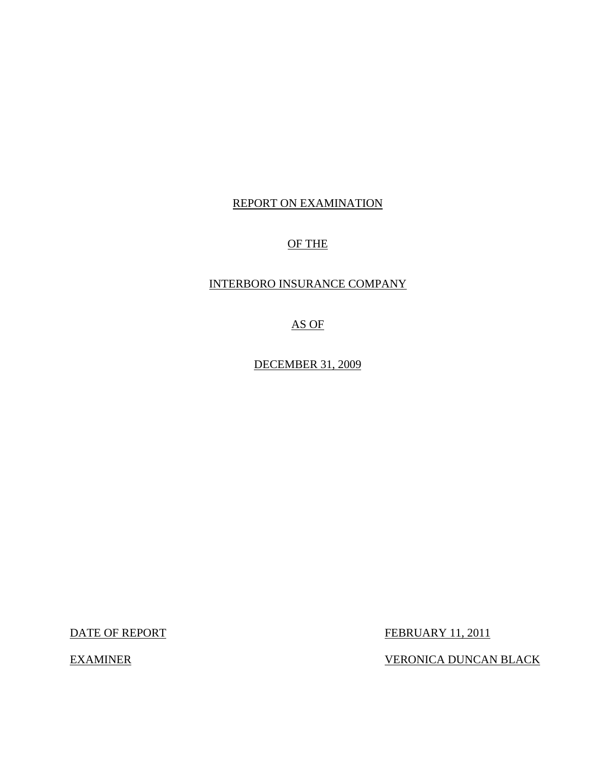# REPORT ON EXAMINATION

# OF THE

# INTERBORO INSURANCE COMPANY

AS OF

DECEMBER 31, 2009

DATE OF REPORT FEBRUARY 11, 2011

EXAMINER VERONICA DUNCAN BLACK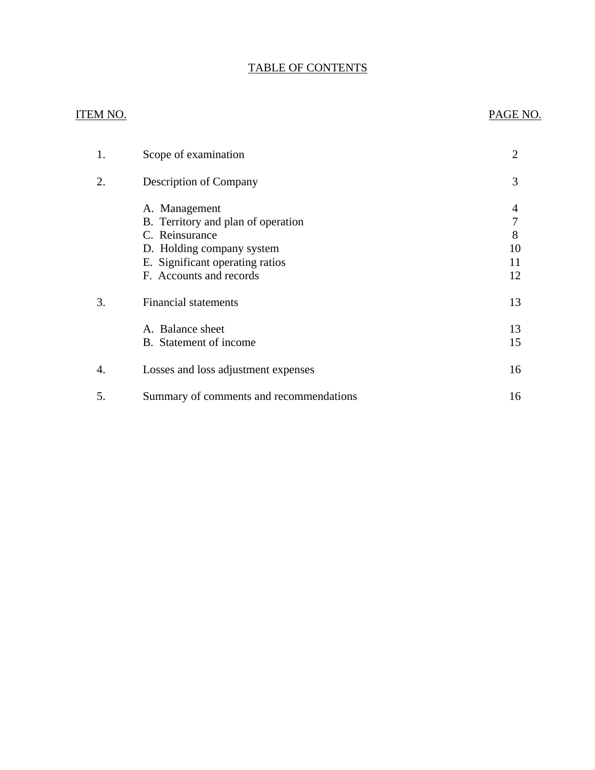# TABLE OF CONTENTS

# ITEM NO. PAGE NO.

| 1. | Scope of examination                                                                                                                                             | 2                        |
|----|------------------------------------------------------------------------------------------------------------------------------------------------------------------|--------------------------|
| 2. | <b>Description of Company</b>                                                                                                                                    | 3                        |
|    | A. Management<br>B. Territory and plan of operation<br>C. Reinsurance<br>D. Holding company system<br>E. Significant operating ratios<br>F. Accounts and records | 4<br>8<br>10<br>11<br>12 |
| 3. | <b>Financial statements</b>                                                                                                                                      | 13                       |
|    | A. Balance sheet<br>B. Statement of income.                                                                                                                      | 13<br>15                 |
| 4. | Losses and loss adjustment expenses                                                                                                                              | 16                       |
| 5. | Summary of comments and recommendations                                                                                                                          | 16                       |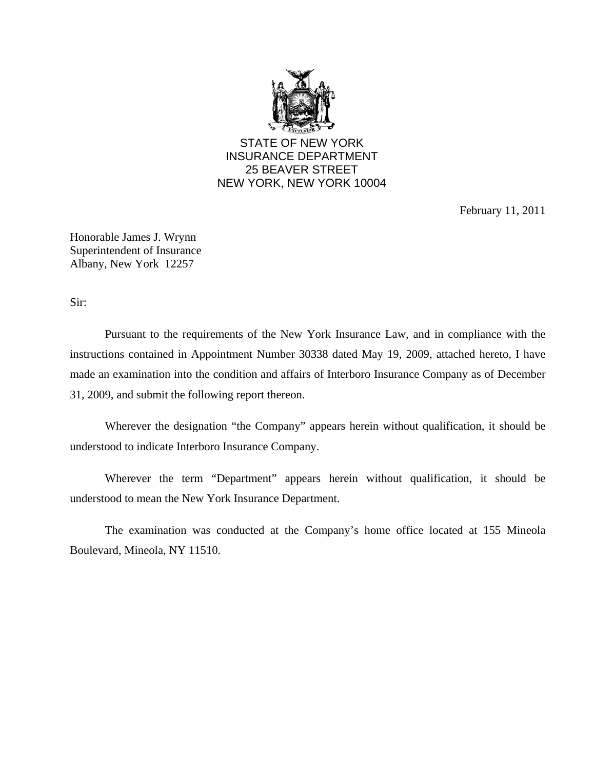

STATE OF NEW YORK INSURANCE DEPARTMENT 25 BEAVER STREET NEW YORK, NEW YORK 10004

February 11, 2011

Honorable James J. Wrynn Superintendent of Insurance Albany, New York 12257

Sir:

Pursuant to the requirements of the New York Insurance Law, and in compliance with the instructions contained in Appointment Number 30338 dated May 19, 2009, attached hereto, I have made an examination into the condition and affairs of Interboro Insurance Company as of December 31, 2009, and submit the following report thereon.

Wherever the designation "the Company" appears herein without qualification, it should be understood to indicate Interboro Insurance Company.

Wherever the term "Department" appears herein without qualification, it should be understood to mean the New York Insurance Department.

The examination was conducted at the Company's home office located at 155 Mineola Boulevard, Mineola, NY 11510.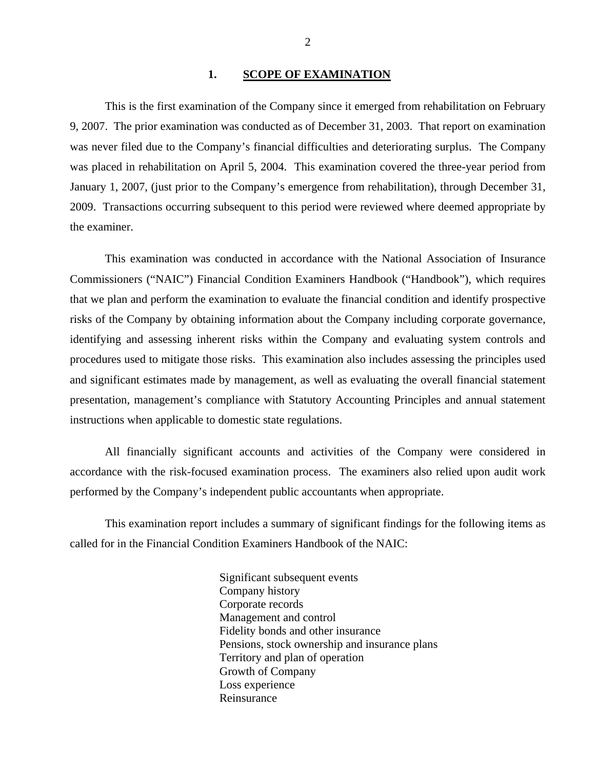#### 1. SCOPE OF EXAMINATION

<span id="page-3-0"></span>This is the first examination of the Company since it emerged from rehabilitation on February 9, 2007. The prior examination was conducted as of December 31, 2003. That report on examination was never filed due to the Company's financial difficulties and deteriorating surplus. The Company was placed in rehabilitation on April 5, 2004. This examination covered the three-year period from January 1, 2007, (just prior to the Company's emergence from rehabilitation), through December 31, 2009. Transactions occurring subsequent to this period were reviewed where deemed appropriate by the examiner.

This examination was conducted in accordance with the National Association of Insurance Commissioners ("NAIC") Financial Condition Examiners Handbook ("Handbook"), which requires that we plan and perform the examination to evaluate the financial condition and identify prospective risks of the Company by obtaining information about the Company including corporate governance, identifying and assessing inherent risks within the Company and evaluating system controls and procedures used to mitigate those risks. This examination also includes assessing the principles used and significant estimates made by management, as well as evaluating the overall financial statement presentation, management's compliance with Statutory Accounting Principles and annual statement instructions when applicable to domestic state regulations.

All financially significant accounts and activities of the Company were considered in accordance with the risk-focused examination process. The examiners also relied upon audit work performed by the Company's independent public accountants when appropriate.

This examination report includes a summary of significant findings for the following items as called for in the Financial Condition Examiners Handbook of the NAIC:

> Significant subsequent events Company history Corporate records Management and control Fidelity bonds and other insurance Pensions, stock ownership and insurance plans Territory and plan of operation Growth of Company Loss experience Reinsurance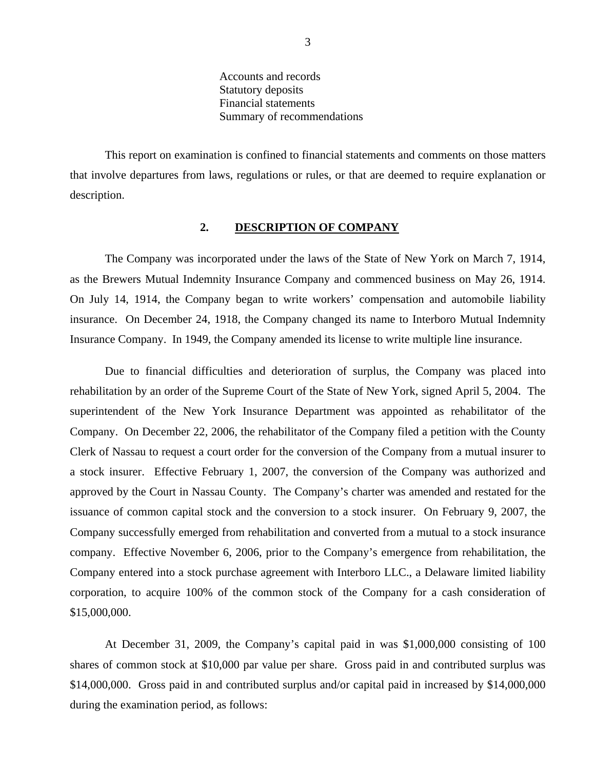Accounts and records Statutory deposits Financial statements Summary of recommendations

<span id="page-4-0"></span>This report on examination is confined to financial statements and comments on those matters that involve departures from laws, regulations or rules, or that are deemed to require explanation or description.

#### **2. DESCRIPTION OF COMPANY**

The Company was incorporated under the laws of the State of New York on March 7, 1914, as the Brewers Mutual Indemnity Insurance Company and commenced business on May 26, 1914. On July 14, 1914, the Company began to write workers' compensation and automobile liability insurance. On December 24, 1918, the Company changed its name to Interboro Mutual Indemnity Insurance Company. In 1949, the Company amended its license to write multiple line insurance.

Due to financial difficulties and deterioration of surplus, the Company was placed into rehabilitation by an order of the Supreme Court of the State of New York, signed April 5, 2004. The superintendent of the New York Insurance Department was appointed as rehabilitator of the Company. On December 22, 2006, the rehabilitator of the Company filed a petition with the County Clerk of Nassau to request a court order for the conversion of the Company from a mutual insurer to a stock insurer. Effective February 1, 2007, the conversion of the Company was authorized and approved by the Court in Nassau County. The Company's charter was amended and restated for the issuance of common capital stock and the conversion to a stock insurer. On February 9, 2007, the Company successfully emerged from rehabilitation and converted from a mutual to a stock insurance company. Effective November 6, 2006, prior to the Company's emergence from rehabilitation, the Company entered into a stock purchase agreement with Interboro LLC., a Delaware limited liability corporation, to acquire 100% of the common stock of the Company for a cash consideration of \$15,000,000.

At December 31, 2009, the Company's capital paid in was \$1,000,000 consisting of 100 shares of common stock at \$10,000 par value per share. Gross paid in and contributed surplus was \$14,000,000. Gross paid in and contributed surplus and/or capital paid in increased by \$14,000,000 during the examination period, as follows: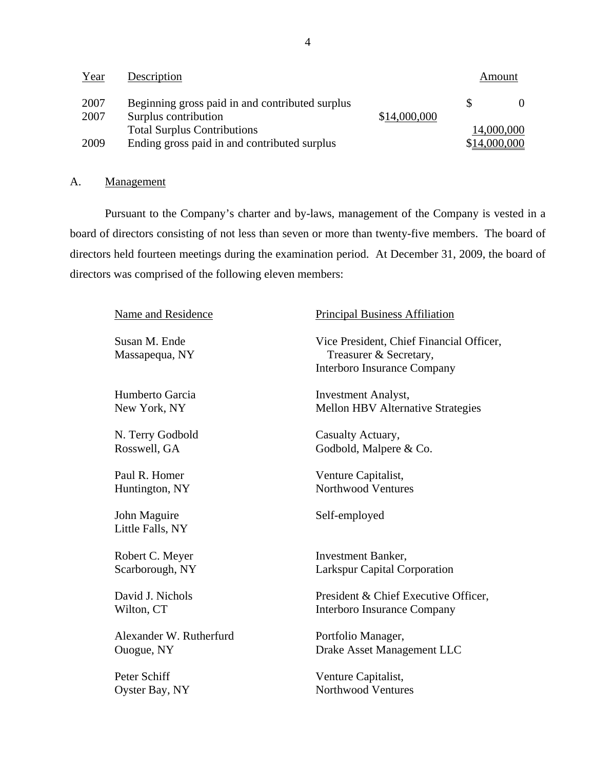| Year         | Description                                                             |              |              | Amount     |
|--------------|-------------------------------------------------------------------------|--------------|--------------|------------|
| 2007<br>2007 | Beginning gross paid in and contributed surplus<br>Surplus contribution | \$14,000,000 |              |            |
|              | <b>Total Surplus Contributions</b>                                      |              |              | 14,000,000 |
| 2009         | Ending gross paid in and contributed surplus                            |              | \$14,000,000 |            |

## A. Management

Pursuant to the Company's charter and by-laws, management of the Company is vested in a board of directors consisting of not less than seven or more than twenty-five members. The board of directors held fourteen meetings during the examination period. At December 31, 2009, the board of directors was comprised of the following eleven members:

| Name and Residence               | <b>Principal Business Affiliation</b>                                                                    |
|----------------------------------|----------------------------------------------------------------------------------------------------------|
| Susan M. Ende<br>Massapequa, NY  | Vice President, Chief Financial Officer,<br>Treasurer & Secretary,<br><b>Interboro Insurance Company</b> |
| Humberto Garcia                  | <b>Investment Analyst,</b>                                                                               |
| New York, NY                     | <b>Mellon HBV Alternative Strategies</b>                                                                 |
| N. Terry Godbold                 | Casualty Actuary,                                                                                        |
| Rosswell, GA                     | Godbold, Malpere & Co.                                                                                   |
| Paul R. Homer                    | Venture Capitalist,                                                                                      |
| Huntington, NY                   | <b>Northwood Ventures</b>                                                                                |
| John Maguire<br>Little Falls, NY | Self-employed                                                                                            |
| Robert C. Meyer                  | <b>Investment Banker,</b>                                                                                |
| Scarborough, NY                  | <b>Larkspur Capital Corporation</b>                                                                      |
| David J. Nichols                 | President & Chief Executive Officer,                                                                     |
| Wilton, CT                       | Interboro Insurance Company                                                                              |
| Alexander W. Rutherfurd          | Portfolio Manager,                                                                                       |
| Ouogue, NY                       | Drake Asset Management LLC                                                                               |
| Peter Schiff                     | Venture Capitalist,                                                                                      |
| Oyster Bay, NY                   | <b>Northwood Ventures</b>                                                                                |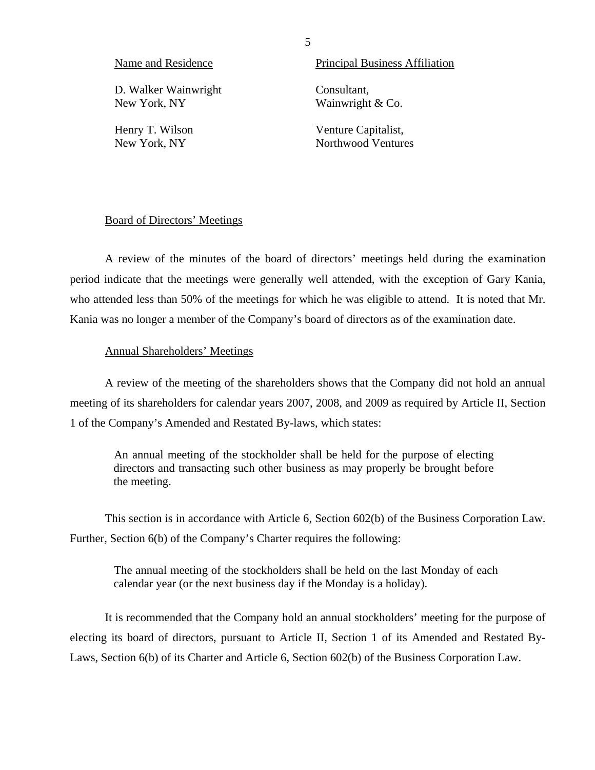D. Walker Wainwright Consultant, New York, NY Wainwright & Co.

Name and Residence Principal Business Affiliation

Henry T. Wilson Venture Capitalist, New York, NY Northwood Ventures

#### Board of Directors' Meetings

A review of the minutes of the board of directors' meetings held during the examination period indicate that the meetings were generally well attended, with the exception of Gary Kania, who attended less than 50% of the meetings for which he was eligible to attend. It is noted that Mr. Kania was no longer a member of the Company's board of directors as of the examination date.

#### Annual Shareholders' Meetings

A review of the meeting of the shareholders shows that the Company did not hold an annual meeting of its shareholders for calendar years 2007, 2008, and 2009 as required by Article II, Section 1 of the Company's Amended and Restated By-laws, which states:

An annual meeting of the stockholder shall be held for the purpose of electing directors and transacting such other business as may properly be brought before the meeting.

This section is in accordance with Article 6, Section 602(b) of the Business Corporation Law. Further, Section 6(b) of the Company's Charter requires the following:

The annual meeting of the stockholders shall be held on the last Monday of each calendar year (or the next business day if the Monday is a holiday).

It is recommended that the Company hold an annual stockholders' meeting for the purpose of electing its board of directors, pursuant to Article II, Section 1 of its Amended and Restated By-Laws, Section 6(b) of its Charter and Article 6, Section 602(b) of the Business Corporation Law.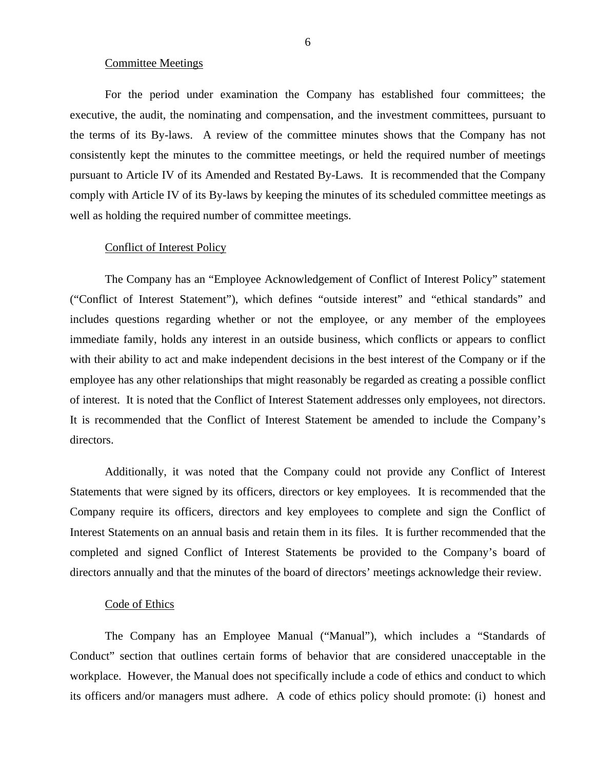#### Committee Meetings

For the period under examination the Company has established four committees; the executive, the audit, the nominating and compensation, and the investment committees, pursuant to the terms of its By-laws. A review of the committee minutes shows that the Company has not consistently kept the minutes to the committee meetings, or held the required number of meetings pursuant to Article IV of its Amended and Restated By-Laws. It is recommended that the Company comply with Article IV of its By-laws by keeping the minutes of its scheduled committee meetings as well as holding the required number of committee meetings.

#### Conflict of Interest Policy

The Company has an "Employee Acknowledgement of Conflict of Interest Policy" statement ("Conflict of Interest Statement"), which defines "outside interest" and "ethical standards" and includes questions regarding whether or not the employee, or any member of the employees immediate family, holds any interest in an outside business, which conflicts or appears to conflict with their ability to act and make independent decisions in the best interest of the Company or if the employee has any other relationships that might reasonably be regarded as creating a possible conflict of interest. It is noted that the Conflict of Interest Statement addresses only employees, not directors. It is recommended that the Conflict of Interest Statement be amended to include the Company's directors.

Additionally, it was noted that the Company could not provide any Conflict of Interest Statements that were signed by its officers, directors or key employees. It is recommended that the Company require its officers, directors and key employees to complete and sign the Conflict of Interest Statements on an annual basis and retain them in its files. It is further recommended that the completed and signed Conflict of Interest Statements be provided to the Company's board of directors annually and that the minutes of the board of directors' meetings acknowledge their review.

#### Code of Ethics

The Company has an Employee Manual ("Manual"), which includes a "Standards of Conduct" section that outlines certain forms of behavior that are considered unacceptable in the workplace. However, the Manual does not specifically include a code of ethics and conduct to which its officers and/or managers must adhere. A code of ethics policy should promote: (i) honest and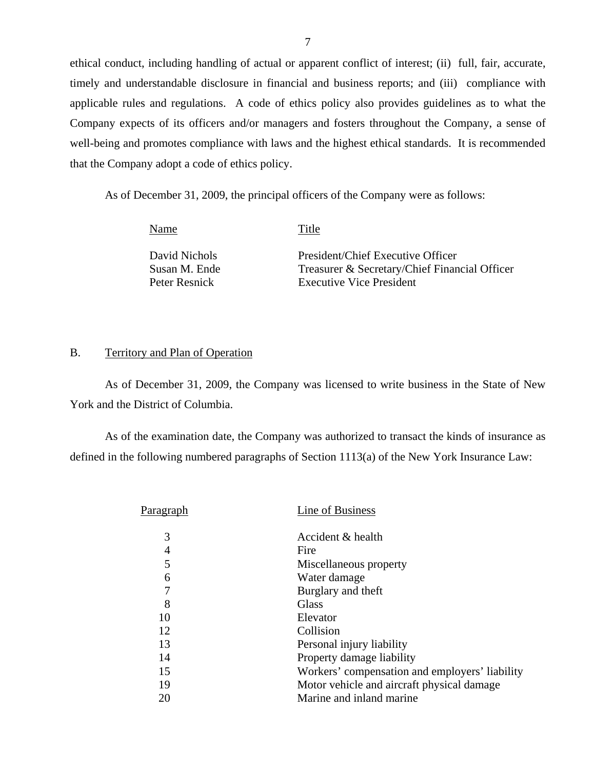ethical conduct, including handling of actual or apparent conflict of interest; (ii) full, fair, accurate, timely and understandable disclosure in financial and business reports; and (iii) compliance with applicable rules and regulations. A code of ethics policy also provides guidelines as to what the Company expects of its officers and/or managers and fosters throughout the Company, a sense of well-being and promotes compliance with laws and the highest ethical standards. It is recommended that the Company adopt a code of ethics policy.

As of December 31, 2009, the principal officers of the Company were as follows:

Name Title

David Nichols President/Chief Executive Officer Susan M. Ende Treasurer & Secretary/Chief Financial Officer Peter Resnick Executive Vice President

## B. Territory and Plan of Operation

As of December 31, 2009, the Company was licensed to write business in the State of New York and the District of Columbia.

As of the examination date, the Company was authorized to transact the kinds of insurance as defined in the following numbered paragraphs of Section 1113(a) of the New York Insurance Law:

| Paragraph      | Line of Business                               |
|----------------|------------------------------------------------|
| 3              | Accident & health                              |
| $\overline{4}$ | Fire                                           |
| 5              | Miscellaneous property                         |
| 6              | Water damage                                   |
| 7              | Burglary and theft                             |
| 8              | Glass                                          |
| 10             | Elevator                                       |
| 12             | Collision                                      |
| 13             | Personal injury liability                      |
| 14             | Property damage liability                      |
| 15             | Workers' compensation and employers' liability |
| 19             | Motor vehicle and aircraft physical damage     |
| 20             | Marine and inland marine                       |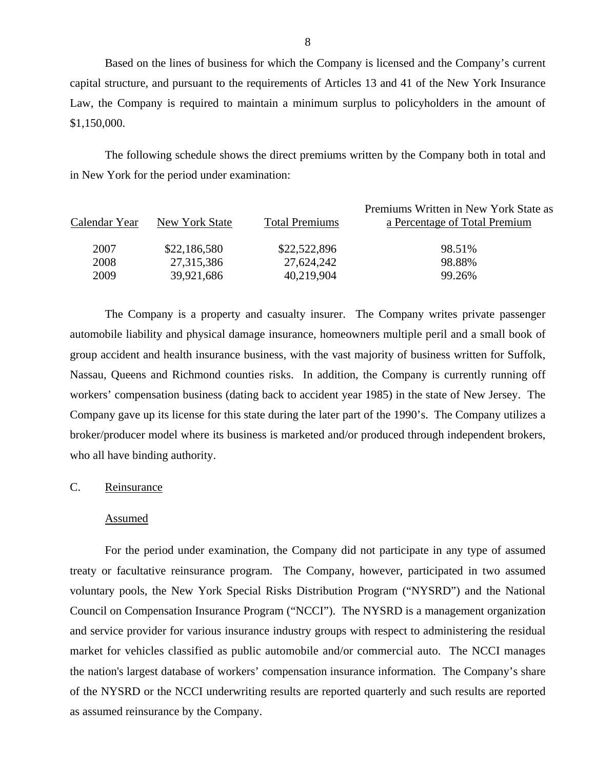Based on the lines of business for which the Company is licensed and the Company's current capital structure, and pursuant to the requirements of Articles 13 and 41 of the New York Insurance Law, the Company is required to maintain a minimum surplus to policyholders in the amount of \$1,150,000.

The following schedule shows the direct premiums written by the Company both in total and in New York for the period under examination:

| New York State | <b>Total Premiums</b> | Premiums Written in New York State as<br>a Percentage of Total Premium |
|----------------|-----------------------|------------------------------------------------------------------------|
| \$22,186,580   | \$22,522,896          | 98.51%                                                                 |
| 27,315,386     | 27,624,242            | 98.88%                                                                 |
| 39,921,686     | 40,219,904            | 99.26%                                                                 |
|                |                       |                                                                        |

The Company is a property and casualty insurer. The Company writes private passenger automobile liability and physical damage insurance, homeowners multiple peril and a small book of group accident and health insurance business, with the vast majority of business written for Suffolk, Nassau, Queens and Richmond counties risks. In addition, the Company is currently running off workers' compensation business (dating back to accident year 1985) in the state of New Jersey. The Company gave up its license for this state during the later part of the 1990's. The Company utilizes a broker/producer model where its business is marketed and/or produced through independent brokers, who all have binding authority.

### C. Reinsurance

#### Assumed

For the period under examination, the Company did not participate in any type of assumed treaty or facultative reinsurance program. The Company, however, participated in two assumed voluntary pools, the New York Special Risks Distribution Program ("NYSRD") and the National Council on Compensation Insurance Program ("NCCI"). The NYSRD is a management organization and service provider for various insurance industry groups with respect to administering the residual market for vehicles classified as public automobile and/or commercial auto. The NCCI manages the nation's largest database of workers' compensation insurance information. The Company's share of the NYSRD or the NCCI underwriting results are reported quarterly and such results are reported as assumed reinsurance by the Company.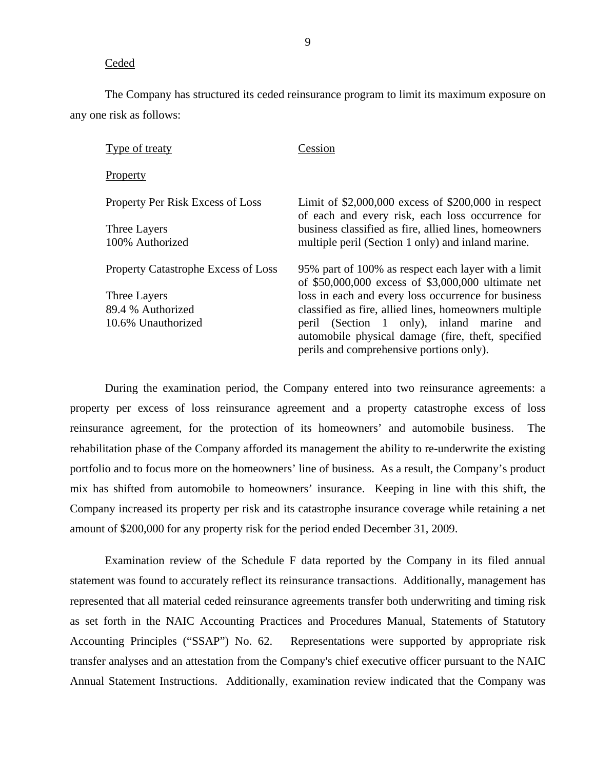#### Ceded

The Company has structured its ceded reinsurance program to limit its maximum exposure on any one risk as follows:

| Type of treaty                             | Cession                                                                                                                                        |
|--------------------------------------------|------------------------------------------------------------------------------------------------------------------------------------------------|
| Property                                   |                                                                                                                                                |
| Property Per Risk Excess of Loss           | Limit of $$2,000,000$ excess of $$200,000$ in respect<br>of each and every risk, each loss occurrence for                                      |
| Three Layers                               | business classified as fire, allied lines, homeowners                                                                                          |
| 100% Authorized                            | multiple peril (Section 1 only) and inland marine.                                                                                             |
| <b>Property Catastrophe Excess of Loss</b> | 95% part of 100% as respect each layer with a limit<br>of \$50,000,000 excess of \$3,000,000 ultimate net                                      |
| Three Layers                               | loss in each and every loss occurrence for business                                                                                            |
| 89.4 % Authorized                          | classified as fire, allied lines, homeowners multiple                                                                                          |
| 10.6% Unauthorized                         | peril (Section 1 only), inland marine<br>and<br>automobile physical damage (fire, theft, specified<br>perils and comprehensive portions only). |

During the examination period, the Company entered into two reinsurance agreements: a property per excess of loss reinsurance agreement and a property catastrophe excess of loss reinsurance agreement, for the protection of its homeowners' and automobile business. The rehabilitation phase of the Company afforded its management the ability to re-underwrite the existing portfolio and to focus more on the homeowners' line of business. As a result, the Company's product mix has shifted from automobile to homeowners' insurance. Keeping in line with this shift, the Company increased its property per risk and its catastrophe insurance coverage while retaining a net amount of \$200,000 for any property risk for the period ended December 31, 2009.

Examination review of the Schedule F data reported by the Company in its filed annual statement was found to accurately reflect its reinsurance transactions. Additionally, management has represented that all material ceded reinsurance agreements transfer both underwriting and timing risk as set forth in the NAIC Accounting Practices and Procedures Manual, Statements of Statutory Accounting Principles ("SSAP") No. 62. Representations were supported by appropriate risk transfer analyses and an attestation from the Company's chief executive officer pursuant to the NAIC Annual Statement Instructions. Additionally, examination review indicated that the Company was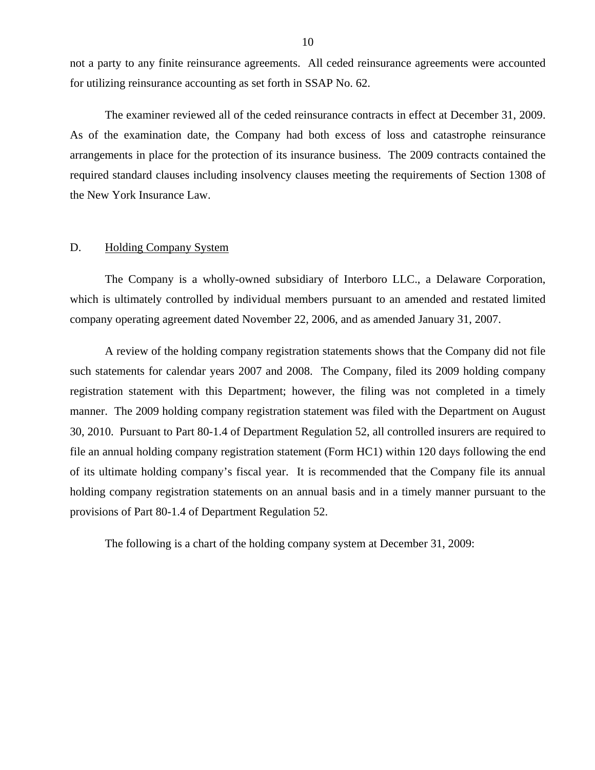<span id="page-11-0"></span>not a party to any finite reinsurance agreements. All ceded reinsurance agreements were accounted for utilizing reinsurance accounting as set forth in SSAP No. 62.

The examiner reviewed all of the ceded reinsurance contracts in effect at December 31, 2009. As of the examination date, the Company had both excess of loss and catastrophe reinsurance arrangements in place for the protection of its insurance business. The 2009 contracts contained the required standard clauses including insolvency clauses meeting the requirements of Section 1308 of the New York Insurance Law.

#### D. Holding Company System

The Company is a wholly-owned subsidiary of Interboro LLC., a Delaware Corporation, which is ultimately controlled by individual members pursuant to an amended and restated limited company operating agreement dated November 22, 2006, and as amended January 31, 2007.

A review of the holding company registration statements shows that the Company did not file such statements for calendar years 2007 and 2008. The Company, filed its 2009 holding company registration statement with this Department; however, the filing was not completed in a timely manner. The 2009 holding company registration statement was filed with the Department on August 30, 2010. Pursuant to Part 80-1.4 of Department Regulation 52, all controlled insurers are required to file an annual holding company registration statement (Form HC1) within 120 days following the end of its ultimate holding company's fiscal year. It is recommended that the Company file its annual holding company registration statements on an annual basis and in a timely manner pursuant to the provisions of Part 80-1.4 of Department Regulation 52.

The following is a chart of the holding company system at December 31, 2009: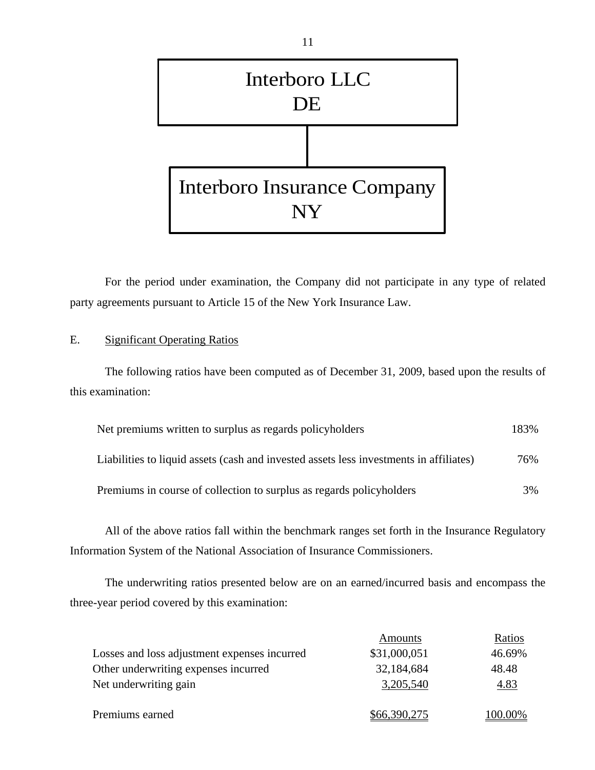

For the period under examination, the Company did not participate in any type of related party agreements pursuant to Article 15 of the New York Insurance Law.

# E. Significant Operating Ratios

The following ratios have been computed as of December 31, 2009, based upon the results of this examination:

| Net premiums written to surplus as regards policyholders                               | 183% |
|----------------------------------------------------------------------------------------|------|
| Liabilities to liquid assets (cash and invested assets less investments in affiliates) | 76%  |
| Premiums in course of collection to surplus as regards policyholders                   | 3%   |

All of the above ratios fall within the benchmark ranges set forth in the Insurance Regulatory Information System of the National Association of Insurance Commissioners.

The underwriting ratios presented below are on an earned/incurred basis and encompass the three-year period covered by this examination:

|                                              | Amounts      | Ratios  |
|----------------------------------------------|--------------|---------|
| Losses and loss adjustment expenses incurred | \$31,000,051 | 46.69%  |
| Other underwriting expenses incurred         | 32,184,684   | 48.48   |
| Net underwriting gain                        | 3,205,540    | 4.83    |
|                                              |              |         |
| Premiums earned                              | \$66,390,275 | 100.00% |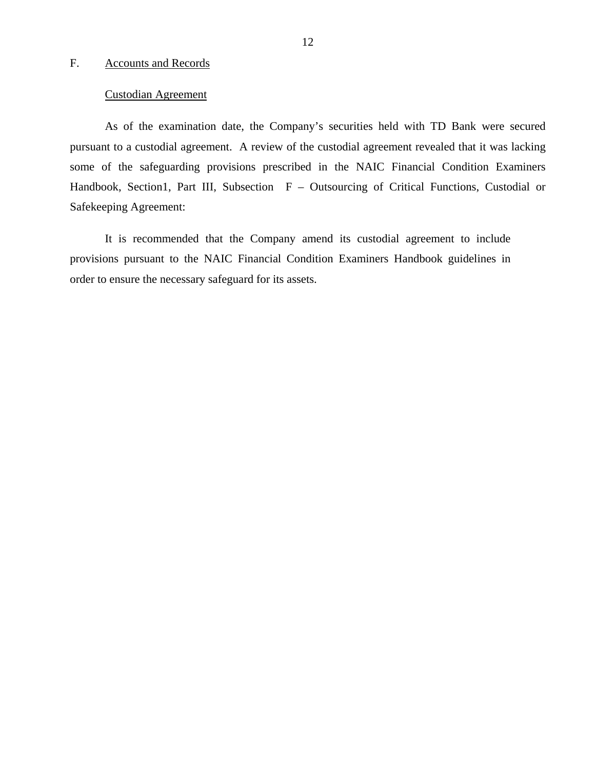#### <span id="page-13-0"></span>F. Accounts and Records

#### Custodian Agreement

As of the examination date, the Company's securities held with TD Bank were secured pursuant to a custodial agreement. A review of the custodial agreement revealed that it was lacking some of the safeguarding provisions prescribed in the NAIC Financial Condition Examiners Handbook, Section1, Part III, Subsection F – Outsourcing of Critical Functions, Custodial or Safekeeping Agreement:

It is recommended that the Company amend its custodial agreement to include provisions pursuant to the NAIC Financial Condition Examiners Handbook guidelines in order to ensure the necessary safeguard for its assets.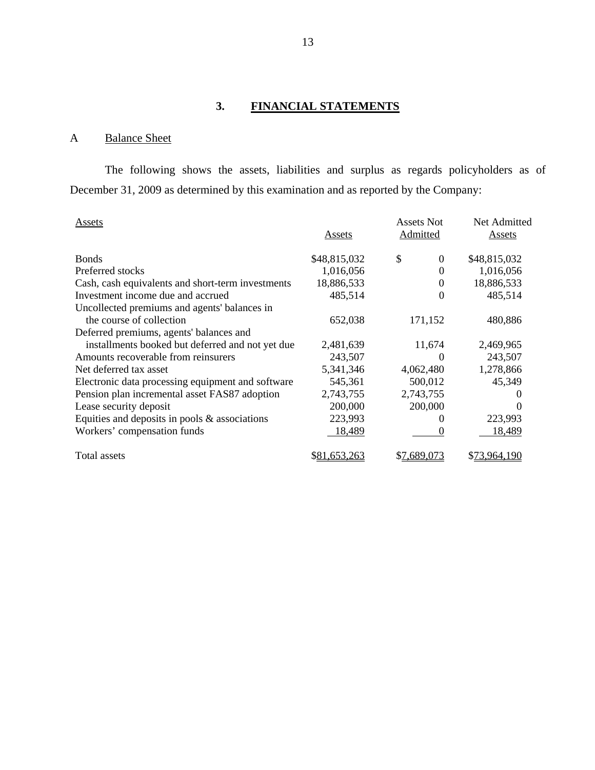# **3. FINANCIAL STATEMENTS**

# A Balance Sheet

The following shows the assets, liabilities and surplus as regards policyholders as of December 31, 2009 as determined by this examination and as reported by the Company:

| Assets                                            | Assets        | Assets Not<br>Admitted | Net Admitted<br>Assets |
|---------------------------------------------------|---------------|------------------------|------------------------|
| <b>Bonds</b>                                      | \$48,815,032  | \$<br>0                | \$48,815,032           |
| Preferred stocks                                  | 1,016,056     | 0                      | 1,016,056              |
| Cash, cash equivalents and short-term investments | 18,886,533    | 0                      | 18,886,533             |
| Investment income due and accrued                 | 485,514       | 0                      | 485,514                |
| Uncollected premiums and agents' balances in      |               |                        |                        |
| the course of collection                          | 652,038       | 171,152                | 480,886                |
| Deferred premiums, agents' balances and           |               |                        |                        |
| installments booked but deferred and not yet due  | 2,481,639     | 11,674                 | 2,469,965              |
| Amounts recoverable from reinsurers               | 243,507       | $\Omega$               | 243,507                |
| Net deferred tax asset                            | 5,341,346     | 4,062,480              | 1,278,866              |
| Electronic data processing equipment and software | 545,361       | 500,012                | 45,349                 |
| Pension plan incremental asset FAS87 adoption     | 2,743,755     | 2,743,755              | 0                      |
| Lease security deposit                            | 200,000       | 200,000                | $\Omega$               |
| Equities and deposits in pools $\&$ associations  | 223,993       |                        | 223,993                |
| Workers' compensation funds                       | <u>18,489</u> |                        | 18,489                 |
| Total assets                                      | \$81,653,263  | \$7,689,073            | \$73,964,190           |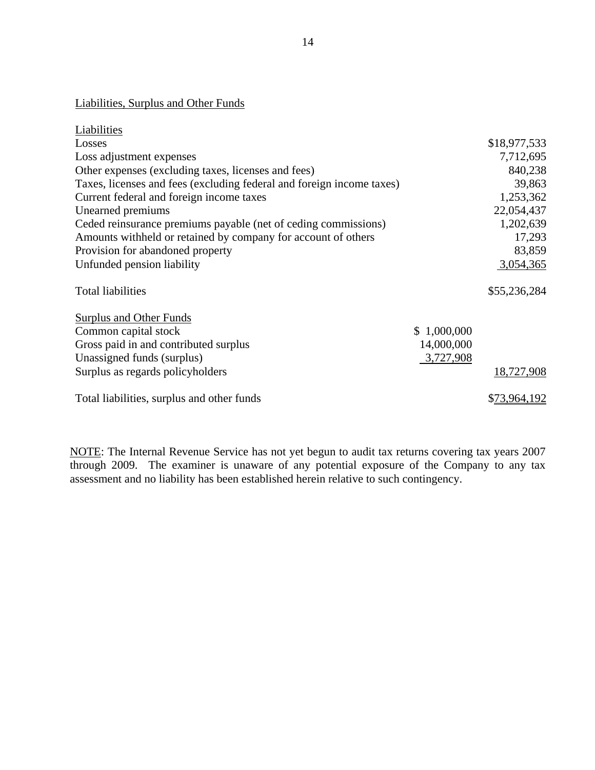# Liabilities, Surplus and Other Funds

| Liabilities                                                           |             |              |
|-----------------------------------------------------------------------|-------------|--------------|
| Losses                                                                |             | \$18,977,533 |
| Loss adjustment expenses                                              |             | 7,712,695    |
| Other expenses (excluding taxes, licenses and fees)                   |             | 840,238      |
| Taxes, licenses and fees (excluding federal and foreign income taxes) |             | 39,863       |
| Current federal and foreign income taxes                              |             | 1,253,362    |
| Unearned premiums                                                     |             | 22,054,437   |
| Ceded reinsurance premiums payable (net of ceding commissions)        |             | 1,202,639    |
| Amounts withheld or retained by company for account of others         |             | 17,293       |
| Provision for abandoned property                                      |             | 83,859       |
| Unfunded pension liability                                            |             | 3,054,365    |
| <b>Total liabilities</b>                                              |             | \$55,236,284 |
| Surplus and Other Funds                                               |             |              |
| Common capital stock                                                  | \$1,000,000 |              |
| Gross paid in and contributed surplus                                 | 14,000,000  |              |
| Unassigned funds (surplus)                                            | 3,727,908   |              |
| Surplus as regards policyholders                                      |             | 18,727,908   |
| Total liabilities, surplus and other funds                            |             | \$73,964,192 |

NOTE: The Internal Revenue Service has not yet begun to audit tax returns covering tax years 2007 through 2009. The examiner is unaware of any potential exposure of the Company to any tax assessment and no liability has been established herein relative to such contingency.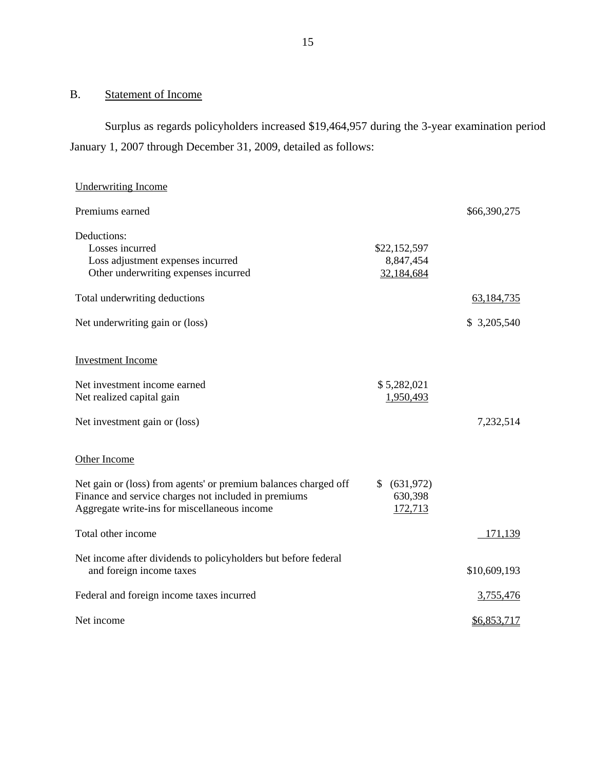# B. Statement of Income

Surplus as regards policyholders increased \$19,464,957 during the 3-year examination period January 1, 2007 through December 31, 2009, detailed as follows:

| <b>Underwriting Income</b>                                                                                                                                              |                                         |              |
|-------------------------------------------------------------------------------------------------------------------------------------------------------------------------|-----------------------------------------|--------------|
| Premiums earned                                                                                                                                                         |                                         | \$66,390,275 |
| Deductions:<br>Losses incurred<br>Loss adjustment expenses incurred<br>Other underwriting expenses incurred                                                             | \$22,152,597<br>8,847,454<br>32,184,684 |              |
| Total underwriting deductions                                                                                                                                           |                                         | 63,184,735   |
| Net underwriting gain or (loss)                                                                                                                                         |                                         | \$ 3,205,540 |
| <b>Investment Income</b>                                                                                                                                                |                                         |              |
| Net investment income earned<br>Net realized capital gain                                                                                                               | \$5,282,021<br>1,950,493                |              |
| Net investment gain or (loss)                                                                                                                                           |                                         | 7,232,514    |
| Other Income                                                                                                                                                            |                                         |              |
| Net gain or (loss) from agents' or premium balances charged off<br>Finance and service charges not included in premiums<br>Aggregate write-ins for miscellaneous income | \$ (631,972)<br>630,398<br>172,713      |              |
| Total other income                                                                                                                                                      |                                         | 171,139      |
| Net income after dividends to policyholders but before federal<br>and foreign income taxes                                                                              |                                         | \$10,609,193 |
| Federal and foreign income taxes incurred                                                                                                                               |                                         | 3,755,476    |
| Net income                                                                                                                                                              |                                         | \$6,853,717  |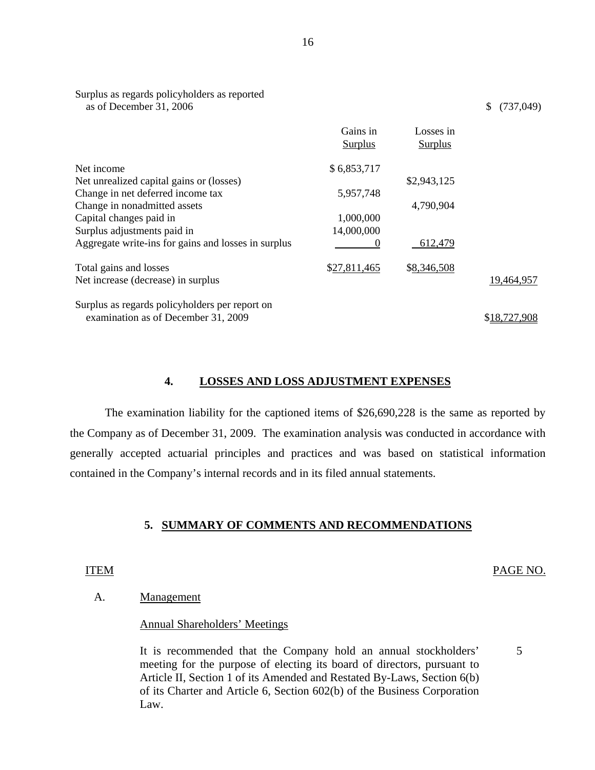|                                                     | Gains in<br><b>Surplus</b> | Losses in<br><b>Surplus</b> |              |
|-----------------------------------------------------|----------------------------|-----------------------------|--------------|
| Net income                                          | \$6,853,717                |                             |              |
| Net unrealized capital gains or (losses)            |                            | \$2,943,125                 |              |
| Change in net deferred income tax                   | 5,957,748                  |                             |              |
| Change in nonadmitted assets                        |                            | 4,790,904                   |              |
| Capital changes paid in                             | 1,000,000                  |                             |              |
| Surplus adjustments paid in                         | 14,000,000                 |                             |              |
| Aggregate write-ins for gains and losses in surplus | $\theta$                   | 612,479                     |              |
| Total gains and losses                              | \$27,811,465               | \$8,346,508                 |              |
| Net increase (decrease) in surplus                  |                            |                             | 19,464,957   |
| Surplus as regards policyholders per report on      |                            |                             |              |
| examination as of December 31, 2009                 |                            |                             | \$18,727,908 |

#### **4. LOSSES AND LOSS ADJUSTMENT EXPENSES**

The examination liability for the captioned items of \$26,690,228 is the same as reported by the Company as of December 31, 2009. The examination analysis was conducted in accordance with generally accepted actuarial principles and practices and was based on statistical information contained in the Company's internal records and in its filed annual statements.

#### **5. SUMMARY OF COMMENTS AND RECOMMENDATIONS**

#### ITEM PAGE NO.

5

#### A. Management

Surplus as regards policyholders as reported

#### Annual Shareholders' Meetings

It is recommended that the Company hold an annual stockholders' meeting for the purpose of electing its board of directors, pursuant to Article II, Section 1 of its Amended and Restated By-Laws, Section 6(b) of its Charter and Article 6, Section 602(b) of the Business Corporation Law.

as of December 31, 2006 \$ (737,049)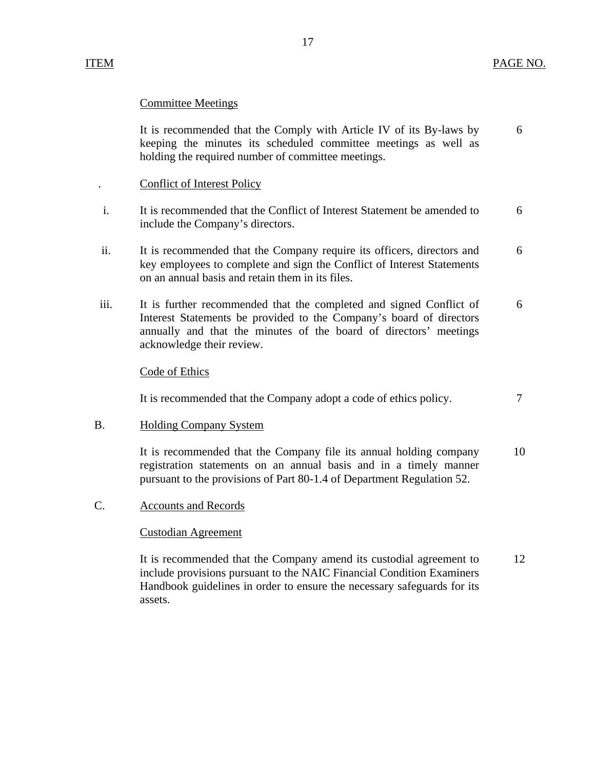## Committee Meetings

It is recommended that the Comply with Article IV of its By-laws by 6 keeping the minutes its scheduled committee meetings as well as holding the required number of committee meetings.

- . Conflict of Interest Policy
- i. It is recommended that the Conflict of Interest Statement be amended to 6 include the Company's directors.
- ii. It is recommended that the Company require its officers, directors and 6 key employees to complete and sign the Conflict of Interest Statements on an annual basis and retain them in its files.
- iii. It is further recommended that the completed and signed Conflict of 6 Interest Statements be provided to the Company's board of directors annually and that the minutes of the board of directors' meetings acknowledge their review.

#### Code of Ethics

It is recommended that the Company adopt a code of ethics policy.  $7 \frac{1}{2}$ 

#### B. Holding Company System

It is recommended that the Company file its annual holding company 10 registration statements on an annual basis and in a timely manner pursuant to the provisions of Part 80-1.4 of Department Regulation 52.

C. Accounts and Records

#### Custodian Agreement

It is recommended that the Company amend its custodial agreement to 12 include provisions pursuant to the NAIC Financial Condition Examiners Handbook guidelines in order to ensure the necessary safeguards for its assets.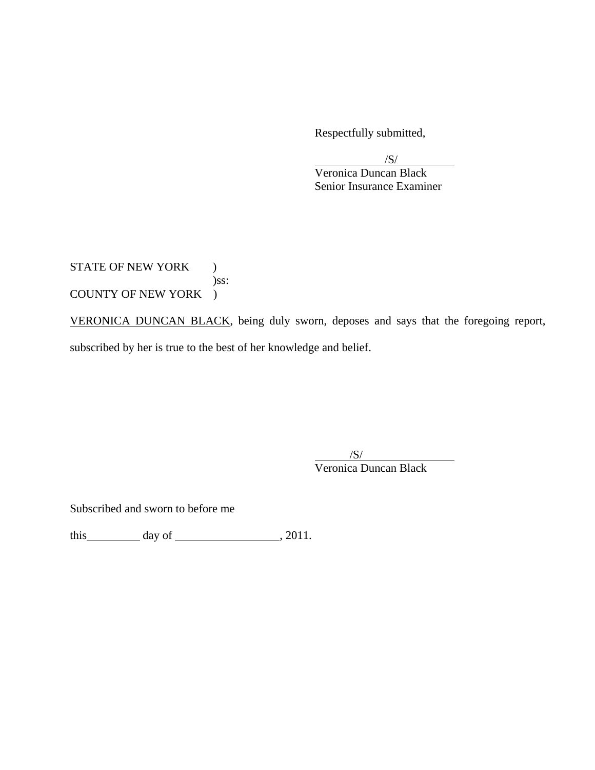Respectfully submitted,

 $\sqrt{S/}$ 

 Veronica Duncan Black Senior Insurance Examiner

STATE OF NEW YORK ) )ss: COUNTY OF NEW YORK )

VERONICA DUNCAN BLACK, being duly sworn, deposes and says that the foregoing report, subscribed by her is true to the best of her knowledge and belief.

 $\overline{\phantom{a}}$ /S/ Veronica Duncan Black

Subscribed and sworn to before me

this  $\qquad \qquad$  day of  $\qquad \qquad$  , 2011.